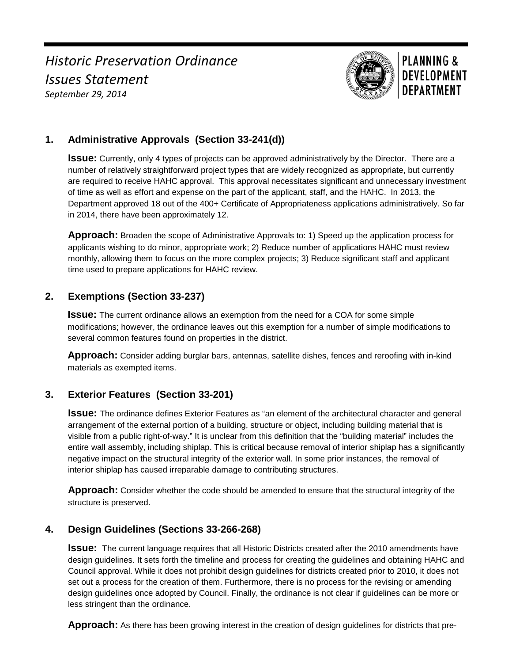*Historic Preservation Ordinance Issues Statement September 29, 2014*



# **PLANNING & DEVELOPMENT DEPARTMENT**

# **1. Administrative Approvals (Section 33-241(d))**

**Issue:** Currently, only 4 types of projects can be approved administratively by the Director. There are a number of relatively straightforward project types that are widely recognized as appropriate, but currently are required to receive HAHC approval. This approval necessitates significant and unnecessary investment of time as well as effort and expense on the part of the applicant, staff, and the HAHC. In 2013, the Department approved 18 out of the 400+ Certificate of Appropriateness applications administratively. So far in 2014, there have been approximately 12.

**Approach:** Broaden the scope of Administrative Approvals to: 1) Speed up the application process for applicants wishing to do minor, appropriate work; 2) Reduce number of applications HAHC must review monthly, allowing them to focus on the more complex projects; 3) Reduce significant staff and applicant time used to prepare applications for HAHC review.

### **2. Exemptions (Section 33-237)**

**Issue:** The current ordinance allows an exemption from the need for a COA for some simple modifications; however, the ordinance leaves out this exemption for a number of simple modifications to several common features found on properties in the district.

**Approach:** Consider adding burglar bars, antennas, satellite dishes, fences and reroofing with in-kind materials as exempted items.

# **3. Exterior Features (Section 33-201)**

**Issue:** The ordinance defines Exterior Features as "an element of the architectural character and general arrangement of the external portion of a building, structure or object, including building material that is visible from a public right-of-way." It is unclear from this definition that the "building material" includes the entire wall assembly, including shiplap. This is critical because removal of interior shiplap has a significantly negative impact on the structural integrity of the exterior wall. In some prior instances, the removal of interior shiplap has caused irreparable damage to contributing structures.

**Approach:** Consider whether the code should be amended to ensure that the structural integrity of the structure is preserved.

### **4. Design Guidelines (Sections 33-266-268)**

**Issue:** The current language requires that all Historic Districts created after the 2010 amendments have design guidelines. It sets forth the timeline and process for creating the guidelines and obtaining HAHC and Council approval. While it does not prohibit design guidelines for districts created prior to 2010, it does not set out a process for the creation of them. Furthermore, there is no process for the revising or amending design guidelines once adopted by Council. Finally, the ordinance is not clear if guidelines can be more or less stringent than the ordinance.

**Approach:** As there has been growing interest in the creation of design guidelines for districts that pre-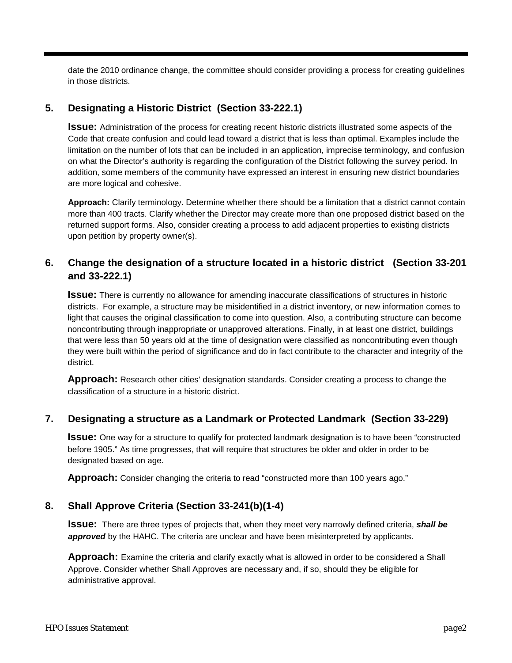date the 2010 ordinance change, the committee should consider providing a process for creating guidelines in those districts.

### **5. Designating a Historic District (Section 33-222.1)**

**Issue:** Administration of the process for creating recent historic districts illustrated some aspects of the Code that create confusion and could lead toward a district that is less than optimal. Examples include the limitation on the number of lots that can be included in an application, imprecise terminology, and confusion on what the Director's authority is regarding the configuration of the District following the survey period. In addition, some members of the community have expressed an interest in ensuring new district boundaries are more logical and cohesive.

**Approach:** Clarify terminology. Determine whether there should be a limitation that a district cannot contain more than 400 tracts. Clarify whether the Director may create more than one proposed district based on the returned support forms. Also, consider creating a process to add adjacent properties to existing districts upon petition by property owner(s).

### **6. Change the designation of a structure located in a historic district (Section 33-201 and 33-222.1)**

**Issue:** There is currently no allowance for amending inaccurate classifications of structures in historic districts. For example, a structure may be misidentified in a district inventory, or new information comes to light that causes the original classification to come into question. Also, a contributing structure can become noncontributing through inappropriate or unapproved alterations. Finally, in at least one district, buildings that were less than 50 years old at the time of designation were classified as noncontributing even though they were built within the period of significance and do in fact contribute to the character and integrity of the district.

**Approach:** Research other cities' designation standards. Consider creating a process to change the classification of a structure in a historic district.

### **7. Designating a structure as a Landmark or Protected Landmark (Section 33-229)**

**Issue:** One way for a structure to qualify for protected landmark designation is to have been "constructed before 1905." As time progresses, that will require that structures be older and older in order to be designated based on age.

**Approach:** Consider changing the criteria to read "constructed more than 100 years ago."

### **8. Shall Approve Criteria (Section 33-241(b)(1-4)**

**Issue:** There are three types of projects that, when they meet very narrowly defined criteria, *shall be approved* by the HAHC. The criteria are unclear and have been misinterpreted by applicants.

**Approach:** Examine the criteria and clarify exactly what is allowed in order to be considered a Shall Approve. Consider whether Shall Approves are necessary and, if so, should they be eligible for administrative approval.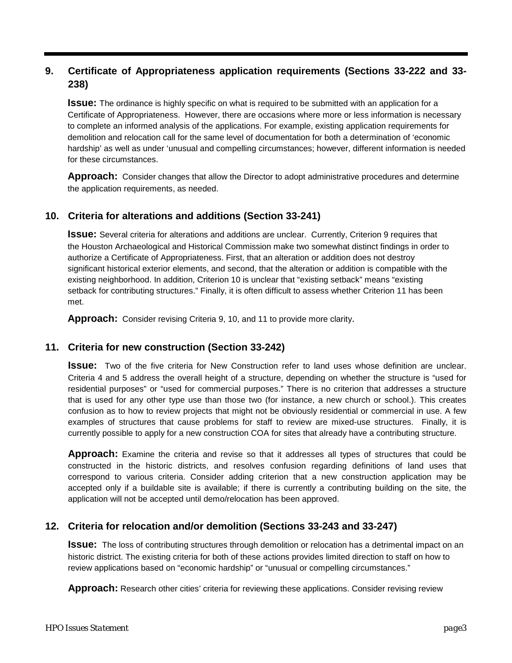# **9. Certificate of Appropriateness application requirements (Sections 33-222 and 33- 238)**

**Issue:** The ordinance is highly specific on what is required to be submitted with an application for a Certificate of Appropriateness. However, there are occasions where more or less information is necessary to complete an informed analysis of the applications. For example, existing application requirements for demolition and relocation call for the same level of documentation for both a determination of 'economic hardship' as well as under 'unusual and compelling circumstances; however, different information is needed for these circumstances.

**Approach:** Consider changes that allow the Director to adopt administrative procedures and determine the application requirements, as needed.

### **10. Criteria for alterations and additions (Section 33-241)**

**Issue:** Several criteria for alterations and additions are unclear. Currently, Criterion 9 requires that the Houston Archaeological and Historical Commission make two somewhat distinct findings in order to authorize a Certificate of Appropriateness. First, that an alteration or addition does not destroy significant historical exterior elements, and second, that the alteration or addition is compatible with the existing neighborhood. In addition, Criterion 10 is unclear that "existing setback" means "existing setback for contributing structures." Finally, it is often difficult to assess whether Criterion 11 has been met.

**Approach:** Consider revising Criteria 9, 10, and 11 to provide more clarity.

### **11. Criteria for new construction (Section 33-242)**

**Issue:** Two of the five criteria for New Construction refer to land uses whose definition are unclear. Criteria 4 and 5 address the overall height of a structure, depending on whether the structure is "used for residential purposes" or "used for commercial purposes." There is no criterion that addresses a structure that is used for any other type use than those two (for instance, a new church or school.). This creates confusion as to how to review projects that might not be obviously residential or commercial in use. A few examples of structures that cause problems for staff to review are mixed-use structures. Finally, it is currently possible to apply for a new construction COA for sites that already have a contributing structure.

**Approach:** Examine the criteria and revise so that it addresses all types of structures that could be constructed in the historic districts, and resolves confusion regarding definitions of land uses that correspond to various criteria. Consider adding criterion that a new construction application may be accepted only if a buildable site is available; if there is currently a contributing building on the site, the application will not be accepted until demo/relocation has been approved.

### **12. Criteria for relocation and/or demolition (Sections 33-243 and 33-247)**

**ISSUE:** The loss of contributing structures through demolition or relocation has a detrimental impact on an historic district. The existing criteria for both of these actions provides limited direction to staff on how to review applications based on "economic hardship" or "unusual or compelling circumstances."

**Approach:** Research other cities' criteria for reviewing these applications. Consider revising review